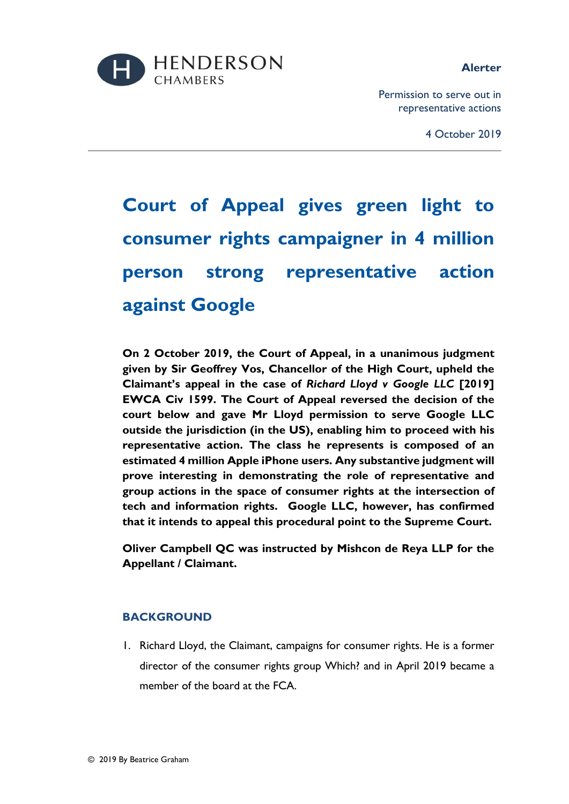

### **Alerter**

Permission to serve out in representative actions

4 October 2019

# **Court of Appeal gives green light to consumer rights campaigner in 4 million person strong representative action against Google**

**On 2 October 2019, the Court of Appeal, in a unanimous judgment given by Sir Geoffrey Vos, Chancellor of the High Court, upheld the Claimant's appeal in the case of** *Richard Lloyd v Google LLC* **[2019] EWCA Civ 1599. The Court of Appeal reversed the decision of the court below and gave Mr Lloyd permission to serve Google LLC outside the jurisdiction (in the US), enabling him to proceed with his representative action. The class he represents is composed of an estimated 4 million Apple iPhone users. Any substantive judgment will prove interesting in demonstrating the role of representative and group actions in the space of consumer rights at the intersection of tech and information rights. Google LLC, however, has confirmed that it intends to appeal this procedural point to the Supreme Court.** 

**Oliver Campbell QC was instructed by Mishcon de Reya LLP for the Appellant / Claimant.**

# **BACKGROUND**

1. Richard Lloyd, the Claimant, campaigns for consumer rights. He is a former director of the consumer rights group Which? and in April 2019 became a member of the board at the FCA.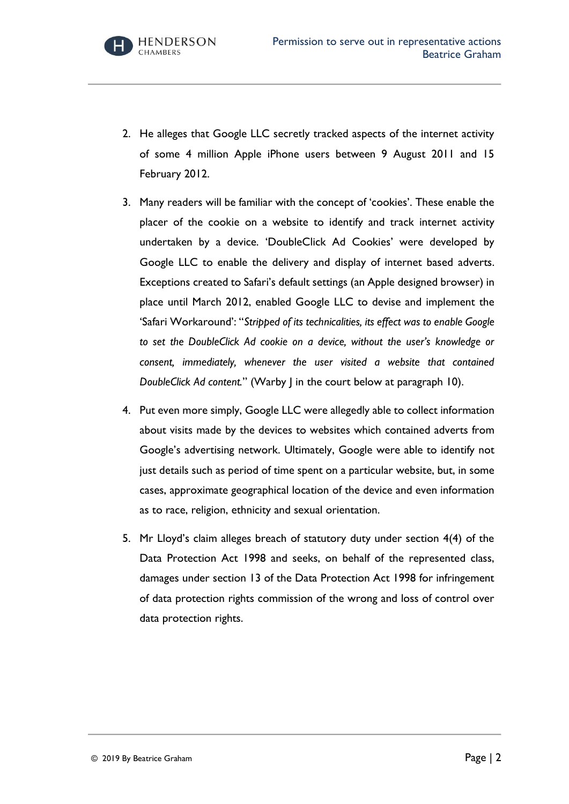2. He alleges that Google LLC secretly tracked aspects of the internet activity of some 4 million Apple iPhone users between 9 August 2011 and 15 February 2012.

**HENDERSON** 

**CHAMBERS** 

- 3. Many readers will be familiar with the concept of 'cookies'. These enable the placer of the cookie on a website to identify and track internet activity undertaken by a device. 'DoubleClick Ad Cookies' were developed by Google LLC to enable the delivery and display of internet based adverts. Exceptions created to Safari's default settings (an Apple designed browser) in place until March 2012, enabled Google LLC to devise and implement the 'Safari Workaround': "*Stripped of its technicalities, its effect was to enable Google to set the DoubleClick Ad cookie on a device, without the user's knowledge or consent, immediately, whenever the user visited a website that contained DoubleClick Ad content.*" (Warby J in the court below at paragraph 10).
- 4. Put even more simply, Google LLC were allegedly able to collect information about visits made by the devices to websites which contained adverts from Google's advertising network. Ultimately, Google were able to identify not just details such as period of time spent on a particular website, but, in some cases, approximate geographical location of the device and even information as to race, religion, ethnicity and sexual orientation.
- 5. Mr Lloyd's claim alleges breach of statutory duty under section 4(4) of the Data Protection Act 1998 and seeks, on behalf of the represented class, damages under section 13 of the Data Protection Act 1998 for infringement of data protection rights commission of the wrong and loss of control over data protection rights.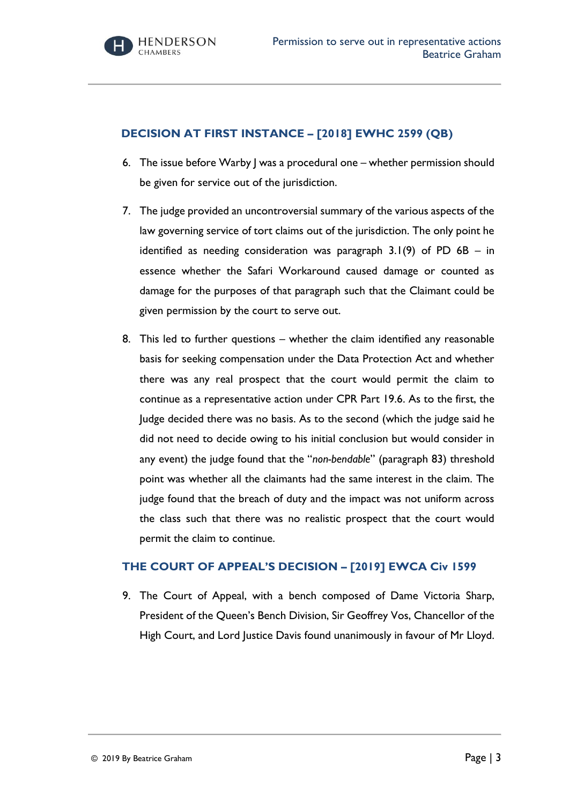# **DECISION AT FIRST INSTANCE – [2018] EWHC 2599 (QB)**

- 6. The issue before Warby J was a procedural one whether permission should be given for service out of the jurisdiction.
- 7. The judge provided an uncontroversial summary of the various aspects of the law governing service of tort claims out of the jurisdiction. The only point he identified as needing consideration was paragraph  $3.1(9)$  of PD 6B – in essence whether the Safari Workaround caused damage or counted as damage for the purposes of that paragraph such that the Claimant could be given permission by the court to serve out.
- 8. This led to further questions whether the claim identified any reasonable basis for seeking compensation under the Data Protection Act and whether there was any real prospect that the court would permit the claim to continue as a representative action under CPR Part 19.6. As to the first, the Judge decided there was no basis. As to the second (which the judge said he did not need to decide owing to his initial conclusion but would consider in any event) the judge found that the "*non-bendable*" (paragraph 83) threshold point was whether all the claimants had the same interest in the claim. The judge found that the breach of duty and the impact was not uniform across the class such that there was no realistic prospect that the court would permit the claim to continue.

## **THE COURT OF APPEAL'S DECISION – [2019] EWCA Civ 1599**

9. The Court of Appeal, with a bench composed of Dame Victoria Sharp, President of the Queen's Bench Division, Sir Geoffrey Vos, Chancellor of the High Court, and Lord Justice Davis found unanimously in favour of Mr Lloyd.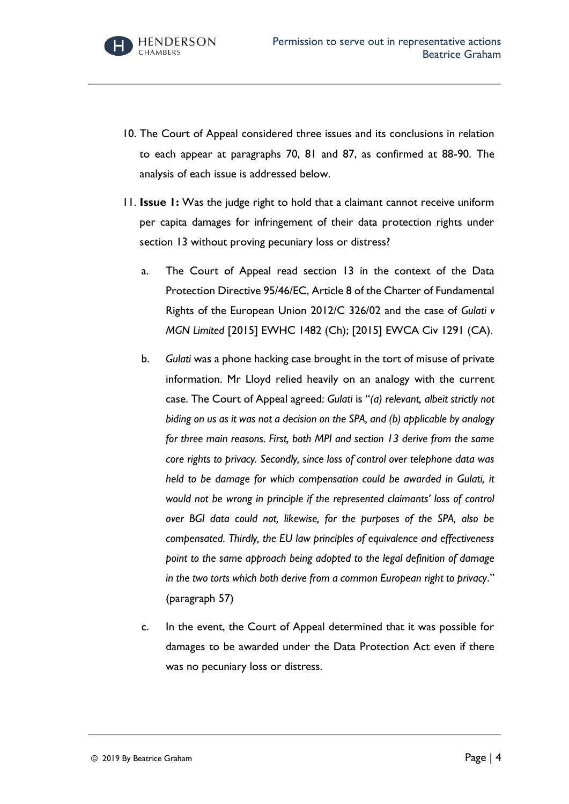- 10. The Court of Appeal considered three issues and its conclusions in relation to each appear at paragraphs 70, 81 and 87, as confirmed at 88-90. The analysis of each issue is addressed below.
- 11. **Issue 1:** Was the judge right to hold that a claimant cannot receive uniform per capita damages for infringement of their data protection rights under section 13 without proving pecuniary loss or distress?
	- a. The Court of Appeal read section 13 in the context of the Data Protection Directive 95/46/EC, Article 8 of the Charter of Fundamental Rights of the European Union 2012/C 326/02 and the case of *Gulati v MGN Limited* [2015] EWHC 1482 (Ch); [2015] EWCA Civ 1291 (CA).
	- b. *Gulati* was a phone hacking case brought in the tort of misuse of private information. Mr Lloyd relied heavily on an analogy with the current case. The Court of Appeal agreed: *Gulati* is "*(a) relevant, albeit strictly not biding on us as it was not a decision on the SPA, and (b) applicable by analogy for three main reasons. First, both MPI and section 13 derive from the same core rights to privacy. Secondly, since loss of control over telephone data was held to be damage for which compensation could be awarded in Gulati, it would not be wrong in principle if the represented claimants' loss of control over BGI data could not, likewise, for the purposes of the SPA, also be compensated. Thirdly, the EU law principles of equivalence and effectiveness point to the same approach being adopted to the legal definition of damage in the two torts which both derive from a common European right to privacy*." (paragraph 57)
	- c. In the event, the Court of Appeal determined that it was possible for damages to be awarded under the Data Protection Act even if there was no pecuniary loss or distress.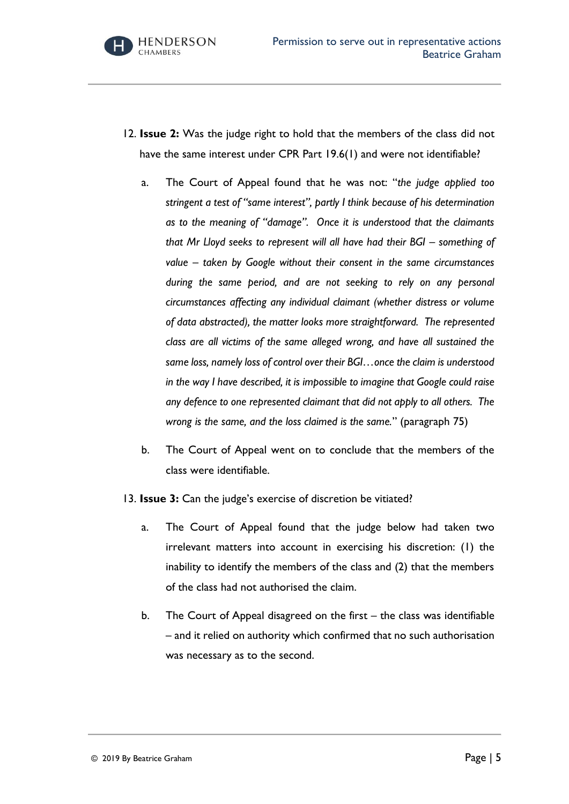- 12. **Issue 2:** Was the judge right to hold that the members of the class did not have the same interest under CPR Part 19.6(1) and were not identifiable?
	- a. The Court of Appeal found that he was not: "*the judge applied too stringent a test of "same interest", partly I think because of his determination as to the meaning of "damage". Once it is understood that the claimants that Mr Lloyd seeks to represent will all have had their BGI – something of value – taken by Google without their consent in the same circumstances during the same period, and are not seeking to rely on any personal circumstances affecting any individual claimant (whether distress or volume of data abstracted), the matter looks more straightforward. The represented class are all victims of the same alleged wrong, and have all sustained the same loss, namely loss of control over their BGI…once the claim is understood in the way I have described, it is impossible to imagine that Google could raise any defence to one represented claimant that did not apply to all others. The wrong is the same, and the loss claimed is the same.*" (paragraph 75)
	- b. The Court of Appeal went on to conclude that the members of the class were identifiable.
- 13. **Issue 3:** Can the judge's exercise of discretion be vitiated?
	- a. The Court of Appeal found that the judge below had taken two irrelevant matters into account in exercising his discretion: (1) the inability to identify the members of the class and (2) that the members of the class had not authorised the claim.
	- b. The Court of Appeal disagreed on the first the class was identifiable – and it relied on authority which confirmed that no such authorisation was necessary as to the second.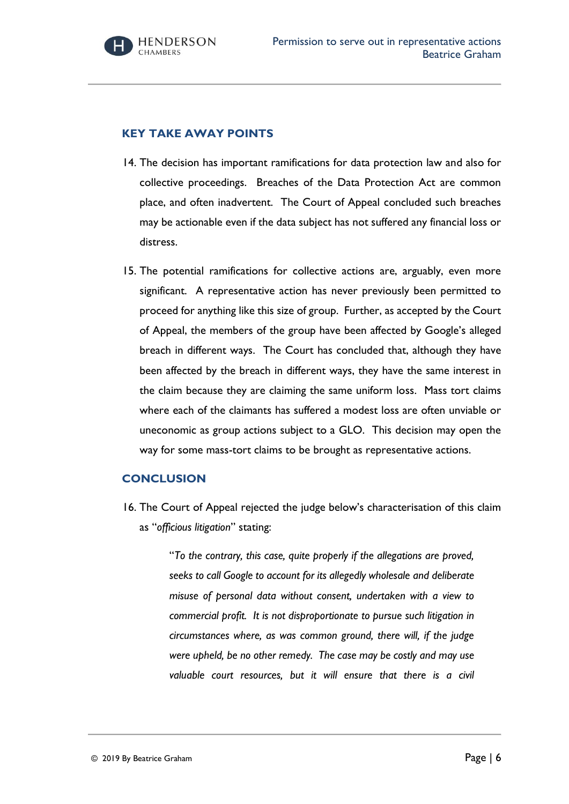### **KEY TAKE AWAY POINTS**

- 14. The decision has important ramifications for data protection law and also for collective proceedings. Breaches of the Data Protection Act are common place, and often inadvertent. The Court of Appeal concluded such breaches may be actionable even if the data subject has not suffered any financial loss or distress.
- 15. The potential ramifications for collective actions are, arguably, even more significant. A representative action has never previously been permitted to proceed for anything like this size of group. Further, as accepted by the Court of Appeal, the members of the group have been affected by Google's alleged breach in different ways. The Court has concluded that, although they have been affected by the breach in different ways, they have the same interest in the claim because they are claiming the same uniform loss. Mass tort claims where each of the claimants has suffered a modest loss are often unviable or uneconomic as group actions subject to a GLO. This decision may open the way for some mass-tort claims to be brought as representative actions.

#### **CONCLUSION**

16. The Court of Appeal rejected the judge below's characterisation of this claim as "*officious litigation*" stating:

> "*To the contrary, this case, quite properly if the allegations are proved, seeks to call Google to account for its allegedly wholesale and deliberate misuse of personal data without consent, undertaken with a view to commercial profit. It is not disproportionate to pursue such litigation in circumstances where, as was common ground, there will, if the judge were upheld, be no other remedy. The case may be costly and may use valuable court resources, but it will ensure that there is a civil*